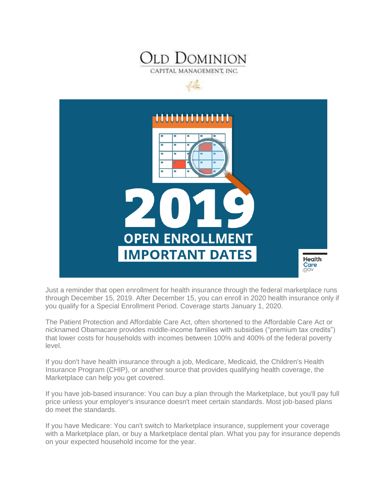



Just a reminder that open enrollment for health insurance through the federal marketplace runs through December 15, 2019. After December 15, you can enroll in 2020 health insurance only if you qualify for a Special Enrollment Period. Coverage starts January 1, 2020.

The Patient Protection and Affordable Care Act, often shortened to the Affordable Care Act or nicknamed Obamacare provides middle-income families with subsidies ("premium tax credits") that lower costs for households with incomes between 100% and 400% of the federal poverty level.

If you don't have health insurance through a job, Medicare, Medicaid, the Children's Health Insurance Program (CHIP), or another source that provides qualifying health coverage, the Marketplace can help you get covered.

If you have job-based insurance: You can buy a plan through the Marketplace, but you'll pay full price unless your employer's insurance doesn't meet certain standards. Most job-based plans do meet the standards.

If you have Medicare: You can't switch to Marketplace insurance, supplement your coverage with a Marketplace plan, or buy a Marketplace dental plan. What you pay for insurance depends on your expected household income for the year.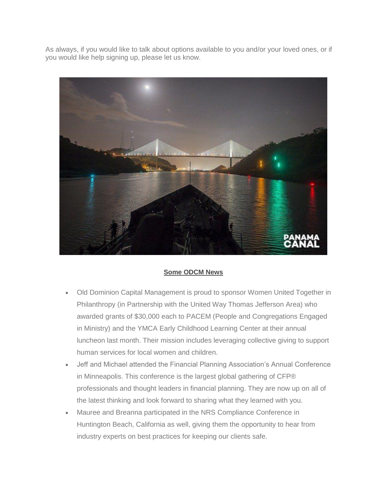As always, if you would like to talk about options available to you and/or your loved ones, or if you would like help signing up, please let us know.



## **Some ODCM News**

- Old Dominion Capital Management is proud to sponsor Women United Together in Philanthropy (in Partnership with the United Way Thomas Jefferson Area) who awarded grants of \$30,000 each to PACEM (People and Congregations Engaged in Ministry) and the YMCA Early Childhood Learning Center at their annual luncheon last month. Their mission includes leveraging collective giving to support human services for local women and children.
- Jeff and Michael attended the Financial Planning Association's Annual Conference in Minneapolis. This conference is the largest global gathering of CFP® professionals and thought leaders in financial planning. They are now up on all of the latest thinking and look forward to sharing what they learned with you.
- Mauree and Breanna participated in the NRS Compliance Conference in Huntington Beach, California as well, giving them the opportunity to hear from industry experts on best practices for keeping our clients safe.